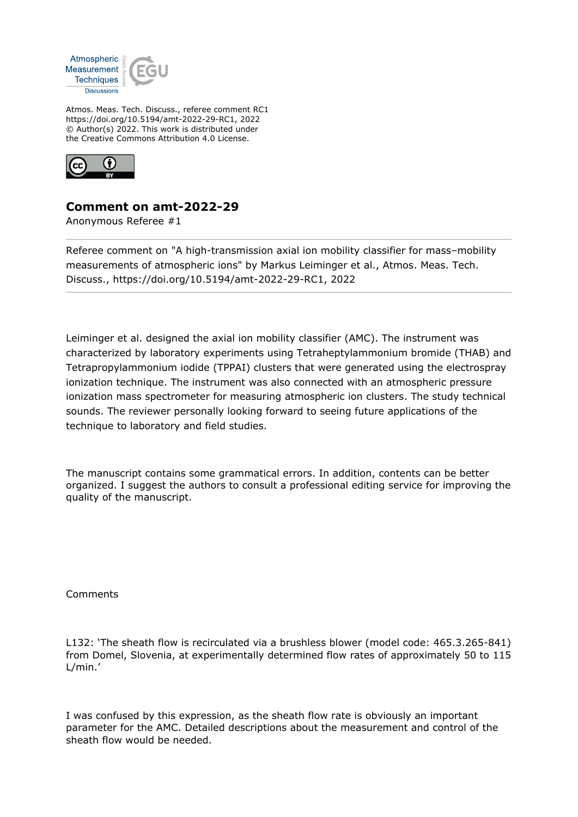

Atmos. Meas. Tech. Discuss., referee comment RC1 https://doi.org/10.5194/amt-2022-29-RC1, 2022 © Author(s) 2022. This work is distributed under the Creative Commons Attribution 4.0 License.



## **Comment on amt-2022-29**

Anonymous Referee #1

Referee comment on "A high-transmission axial ion mobility classifier for mass–mobility measurements of atmospheric ions" by Markus Leiminger et al., Atmos. Meas. Tech. Discuss., https://doi.org/10.5194/amt-2022-29-RC1, 2022

Leiminger et al. designed the axial ion mobility classifier (AMC). The instrument was characterized by laboratory experiments using Tetraheptylammonium bromide (THAB) and Tetrapropylammonium iodide (TPPAI) clusters that were generated using the electrospray ionization technique. The instrument was also connected with an atmospheric pressure ionization mass spectrometer for measuring atmospheric ion clusters. The study technical sounds. The reviewer personally looking forward to seeing future applications of the technique to laboratory and field studies.

The manuscript contains some grammatical errors. In addition, contents can be better organized. I suggest the authors to consult a professional editing service for improving the quality of the manuscript.

Comments

L132: 'The sheath flow is recirculated via a brushless blower (model code: 465.3.265-841) from Domel, Slovenia, at experimentally determined flow rates of approximately 50 to 115 L/min.'

I was confused by this expression, as the sheath flow rate is obviously an important parameter for the AMC. Detailed descriptions about the measurement and control of the sheath flow would be needed.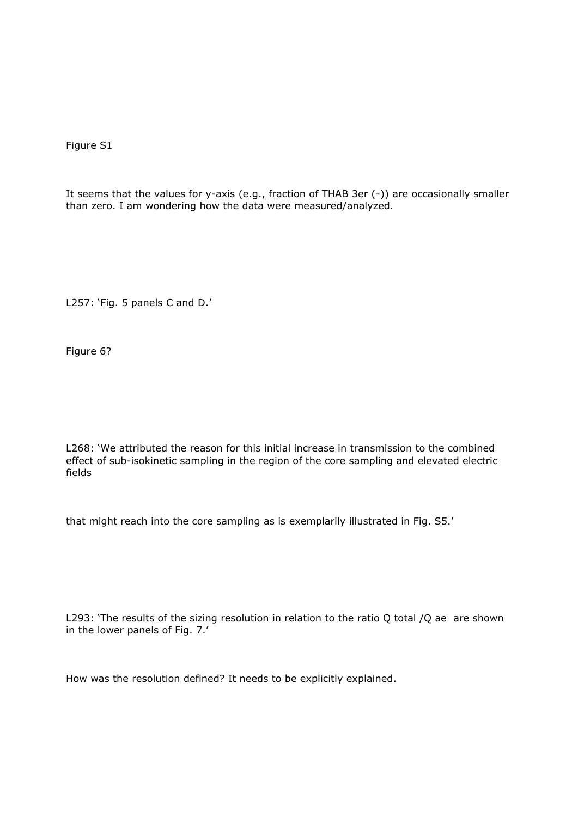Figure S1

It seems that the values for y-axis (e.g., fraction of THAB 3er (-)) are occasionally smaller than zero. I am wondering how the data were measured/analyzed.

L257: 'Fig. 5 panels C and D.'

Figure 6?

L268: 'We attributed the reason for this initial increase in transmission to the combined effect of sub-isokinetic sampling in the region of the core sampling and elevated electric fields

that might reach into the core sampling as is exemplarily illustrated in Fig. S5.'

L293: 'The results of the sizing resolution in relation to the ratio Q total /Q ae are shown in the lower panels of Fig. 7.'

How was the resolution defined? It needs to be explicitly explained.